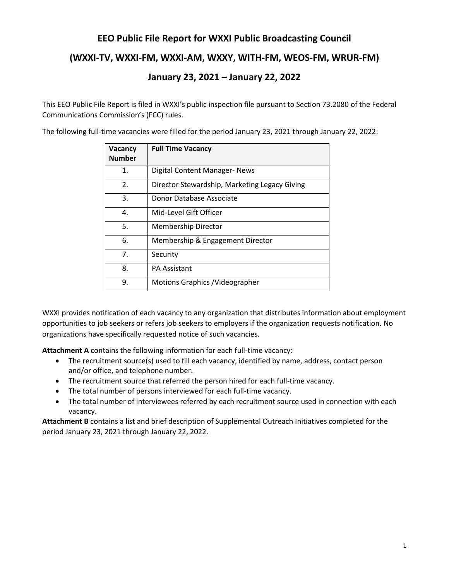# **EEO Public File Report for WXXI Public Broadcasting Council**

## **(WXXI-TV, WXXI-FM, WXXI-AM, WXXY, WITH-FM, WEOS-FM, WRUR-FM)**

# **January 23, 2021 – January 22, 2022**

This EEO Public File Report is filed in WXXI's public inspection file pursuant to Section 73.2080 of the Federal Communications Commission's (FCC) rules.

The following full-time vacancies were filled for the period January 23, 2021 through January 22, 2022:

| Vacancy<br><b>Number</b>                            | <b>Full Time Vacancy</b>         |  |
|-----------------------------------------------------|----------------------------------|--|
| 1.                                                  | Digital Content Manager- News    |  |
| 2.<br>Director Stewardship, Marketing Legacy Giving |                                  |  |
| 3.                                                  | Donor Database Associate         |  |
| 4.                                                  | Mid-Level Gift Officer           |  |
| 5.                                                  | Membership Director              |  |
| 6.                                                  | Membership & Engagement Director |  |
| 7.                                                  | Security                         |  |
| 8.                                                  | <b>PA Assistant</b>              |  |
| 9.                                                  | Motions Graphics / Videographer  |  |

WXXI provides notification of each vacancy to any organization that distributes information about employment opportunities to job seekers or refers job seekers to employers if the organization requests notification. No organizations have specifically requested notice of such vacancies.

**Attachment A** contains the following information for each full-time vacancy:

- The recruitment source(s) used to fill each vacancy, identified by name, address, contact person and/or office, and telephone number.
- The recruitment source that referred the person hired for each full-time vacancy.
- The total number of persons interviewed for each full-time vacancy.
- The total number of interviewees referred by each recruitment source used in connection with each vacancy.

**Attachment B** contains a list and brief description of Supplemental Outreach Initiatives completed for the period January 23, 2021 through January 22, 2022.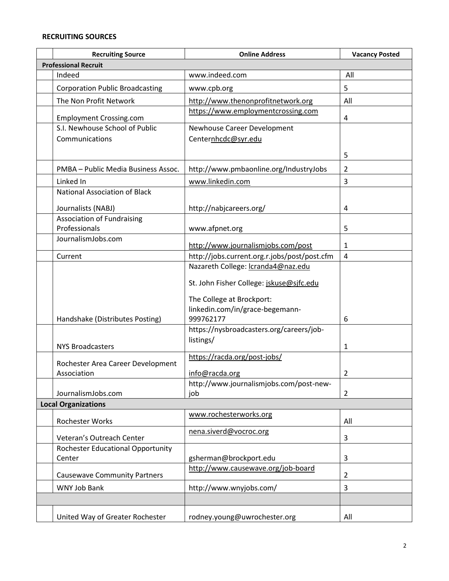#### **RECRUITING SOURCES**

| <b>Recruiting Source</b>                                | <b>Online Address</b>                          | <b>Vacancy Posted</b> |  |  |  |
|---------------------------------------------------------|------------------------------------------------|-----------------------|--|--|--|
| <b>Professional Recruit</b>                             |                                                |                       |  |  |  |
| Indeed                                                  | www.indeed.com                                 | All                   |  |  |  |
| <b>Corporation Public Broadcasting</b>                  | www.cpb.org                                    | 5                     |  |  |  |
| The Non Profit Network                                  | http://www.thenonprofitnetwork.org             | All                   |  |  |  |
| <b>Employment Crossing.com</b>                          | https://www.employmentcrossing.com             | 4                     |  |  |  |
| S.I. Newhouse School of Public                          | Newhouse Career Development                    |                       |  |  |  |
| Communications                                          | Centernhcdc@syr.edu                            |                       |  |  |  |
|                                                         |                                                | 5                     |  |  |  |
| PMBA - Public Media Business Assoc.                     | http://www.pmbaonline.org/IndustryJobs         | 2                     |  |  |  |
| Linked In                                               | www.linkedin.com                               | 3                     |  |  |  |
| <b>National Association of Black</b>                    |                                                |                       |  |  |  |
|                                                         | http://nabjcareers.org/                        | 4                     |  |  |  |
| Journalists (NABJ)<br><b>Association of Fundraising</b> |                                                |                       |  |  |  |
| Professionals                                           | www.afpnet.org                                 | 5                     |  |  |  |
| JournalismJobs.com                                      |                                                |                       |  |  |  |
|                                                         | http://www.journalismjobs.com/post             | $\mathbf{1}$          |  |  |  |
| Current                                                 | http://jobs.current.org.r.jobs/post/post.cfm   | $\overline{4}$        |  |  |  |
|                                                         | Nazareth College: Icranda4@naz.edu             |                       |  |  |  |
|                                                         | St. John Fisher College: jskuse@sjfc.edu       |                       |  |  |  |
|                                                         | The College at Brockport:                      |                       |  |  |  |
|                                                         | linkedin.com/in/grace-begemann-                |                       |  |  |  |
| Handshake (Distributes Posting)                         | 999762177                                      | 6                     |  |  |  |
|                                                         | https://nysbroadcasters.org/careers/job-       |                       |  |  |  |
| <b>NYS Broadcasters</b>                                 | listings/                                      | 1                     |  |  |  |
|                                                         | https://racda.org/post-jobs/                   |                       |  |  |  |
| Rochester Area Career Development                       |                                                |                       |  |  |  |
| Association                                             | info@racda.org                                 | $\overline{2}$        |  |  |  |
| JournalismJobs.com                                      | http://www.journalismjobs.com/post-new-<br>job | 2                     |  |  |  |
| <b>Local Organizations</b>                              |                                                |                       |  |  |  |
| <b>Rochester Works</b>                                  | www.rochesterworks.org                         | All                   |  |  |  |
| Veteran's Outreach Center                               | nena.siverd@vocroc.org                         | 3                     |  |  |  |
| <b>Rochester Educational Opportunity</b>                |                                                |                       |  |  |  |
| Center                                                  | gsherman@brockport.edu                         | 3                     |  |  |  |
| <b>Causewave Community Partners</b>                     | http://www.causewave.org/job-board             | 2                     |  |  |  |
| WNY Job Bank                                            | http://www.wnyjobs.com/                        | 3                     |  |  |  |
|                                                         |                                                |                       |  |  |  |
| United Way of Greater Rochester                         | rodney.young@uwrochester.org                   | All                   |  |  |  |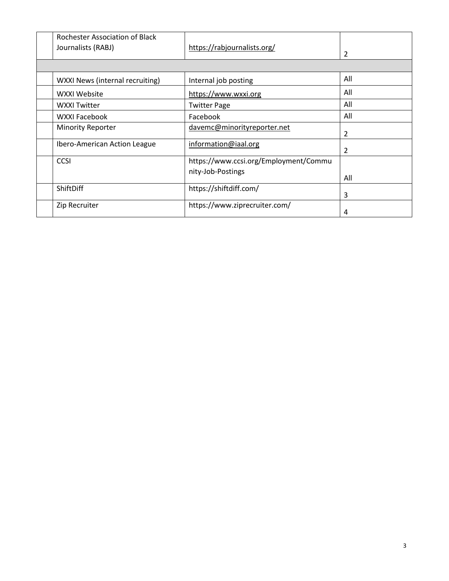| Rochester Association of Black  |                                       |               |
|---------------------------------|---------------------------------------|---------------|
| Journalists (RABJ)              | https://rabjournalists.org/           | 2             |
|                                 |                                       |               |
|                                 |                                       |               |
| WXXI News (internal recruiting) | Internal job posting                  | All           |
| WXXI Website                    | https://www.wxxi.org                  | All           |
| <b>WXXI Twitter</b>             | <b>Twitter Page</b>                   | All           |
| <b>WXXI Facebook</b>            | Facebook                              | All           |
| <b>Minority Reporter</b>        | davemc@minorityreporter.net           | 2             |
|                                 |                                       |               |
| Ibero-American Action League    | information@iaal.org                  | $\mathcal{P}$ |
| <b>CCSI</b>                     | https://www.ccsi.org/Employment/Commu |               |
|                                 | nity-Job-Postings                     |               |
|                                 |                                       | All           |
| ShiftDiff                       | https://shiftdiff.com/                |               |
|                                 |                                       | 3             |
| Zip Recruiter                   | https://www.ziprecruiter.com/         |               |
|                                 |                                       | 4             |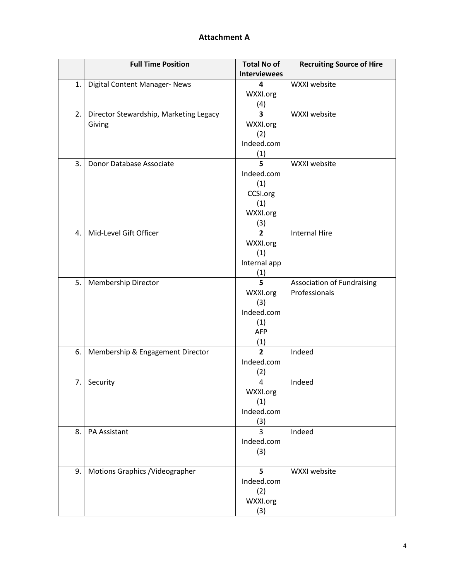### **Attachment A**

|    | <b>Full Time Position</b>              | <b>Total No of</b>      | <b>Recruiting Source of Hire</b>  |
|----|----------------------------------------|-------------------------|-----------------------------------|
|    |                                        | <b>Interviewees</b>     |                                   |
| 1. | Digital Content Manager- News          | 4                       | WXXI website                      |
|    |                                        | WXXI.org                |                                   |
|    |                                        | (4)                     |                                   |
| 2. | Director Stewardship, Marketing Legacy | $\overline{\mathbf{3}}$ | WXXI website                      |
|    | Giving                                 | WXXI.org                |                                   |
|    |                                        | (2)                     |                                   |
|    |                                        | Indeed.com              |                                   |
|    |                                        | (1)                     |                                   |
| 3. | Donor Database Associate               | 5                       | WXXI website                      |
|    |                                        | Indeed.com              |                                   |
|    |                                        | (1)                     |                                   |
|    |                                        | CCSI.org                |                                   |
|    |                                        | (1)                     |                                   |
|    |                                        | WXXI.org                |                                   |
|    |                                        | (3)                     |                                   |
| 4. | Mid-Level Gift Officer                 | $\overline{2}$          | <b>Internal Hire</b>              |
|    |                                        | WXXI.org                |                                   |
|    |                                        | (1)                     |                                   |
|    |                                        | Internal app            |                                   |
|    |                                        | (1)                     |                                   |
| 5. | <b>Membership Director</b>             | 5                       | <b>Association of Fundraising</b> |
|    |                                        | WXXI.org                | Professionals                     |
|    |                                        | (3)                     |                                   |
|    |                                        | Indeed.com              |                                   |
|    |                                        | (1)                     |                                   |
|    |                                        | <b>AFP</b>              |                                   |
|    |                                        | (1)                     |                                   |
| 6. | Membership & Engagement Director       | $\overline{2}$          | Indeed                            |
|    |                                        | Indeed.com              |                                   |
|    |                                        | (2)                     |                                   |
| 7. | Security                               | 4                       | Indeed                            |
|    |                                        | WXXI.org                |                                   |
|    |                                        | (1)                     |                                   |
|    |                                        | Indeed.com              |                                   |
|    |                                        | (3)                     |                                   |
| 8. | PA Assistant                           | 3                       | Indeed                            |
|    |                                        | Indeed.com              |                                   |
|    |                                        | (3)                     |                                   |
|    |                                        |                         |                                   |
| 9. | Motions Graphics / Videographer        | 5                       | WXXI website                      |
|    |                                        | Indeed.com              |                                   |
|    |                                        | (2)                     |                                   |
|    |                                        | WXXI.org                |                                   |
|    |                                        | (3)                     |                                   |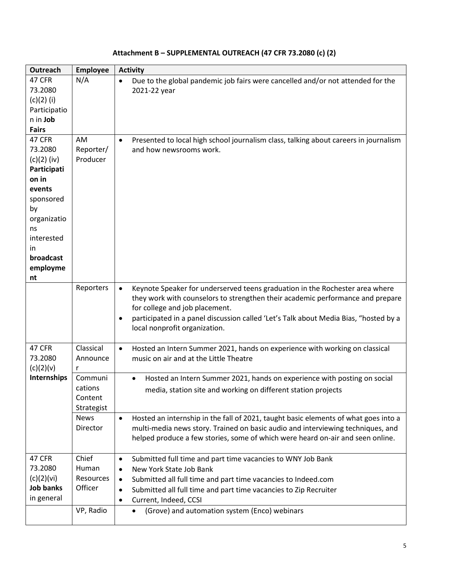| Outreach          | <b>Employee</b> | <b>Activity</b>                                                                                   |  |  |
|-------------------|-----------------|---------------------------------------------------------------------------------------------------|--|--|
| 47 CFR            | N/A             | Due to the global pandemic job fairs were cancelled and/or not attended for the<br>$\bullet$      |  |  |
| 73.2080           |                 | 2021-22 year                                                                                      |  |  |
| $(c)(2)$ (i)      |                 |                                                                                                   |  |  |
| Participatio      |                 |                                                                                                   |  |  |
| n in Job          |                 |                                                                                                   |  |  |
| <b>Fairs</b>      |                 |                                                                                                   |  |  |
| 47 CFR            | AM              | Presented to local high school journalism class, talking about careers in journalism<br>$\bullet$ |  |  |
| 73.2080           | Reporter/       | and how newsrooms work.                                                                           |  |  |
| $(c)(2)$ (iv)     | Producer        |                                                                                                   |  |  |
| Participati       |                 |                                                                                                   |  |  |
| on in             |                 |                                                                                                   |  |  |
| events            |                 |                                                                                                   |  |  |
| sponsored         |                 |                                                                                                   |  |  |
| by                |                 |                                                                                                   |  |  |
| organizatio<br>ns |                 |                                                                                                   |  |  |
| interested        |                 |                                                                                                   |  |  |
| in.               |                 |                                                                                                   |  |  |
| broadcast         |                 |                                                                                                   |  |  |
| employme          |                 |                                                                                                   |  |  |
| nt                |                 |                                                                                                   |  |  |
|                   | Reporters       | Keynote Speaker for underserved teens graduation in the Rochester area where<br>$\bullet$         |  |  |
|                   |                 | they work with counselors to strengthen their academic performance and prepare                    |  |  |
|                   |                 | for college and job placement.                                                                    |  |  |
|                   |                 | participated in a panel discussion called 'Let's Talk about Media Bias, "hosted by a<br>$\bullet$ |  |  |
|                   |                 | local nonprofit organization.                                                                     |  |  |
|                   |                 |                                                                                                   |  |  |
| 47 CFR            | Classical       | $\bullet$<br>Hosted an Intern Summer 2021, hands on experience with working on classical          |  |  |
| 73.2080           | Announce        | music on air and at the Little Theatre                                                            |  |  |
| (c)(2)(v)         | r               |                                                                                                   |  |  |
| Internships       | Communi         | Hosted an Intern Summer 2021, hands on experience with posting on social<br>$\bullet$             |  |  |
|                   | cations         | media, station site and working on different station projects                                     |  |  |
|                   | Content         |                                                                                                   |  |  |
|                   | Strategist      |                                                                                                   |  |  |
|                   | <b>News</b>     | Hosted an internship in the fall of 2021, taught basic elements of what goes into a<br>$\bullet$  |  |  |
|                   | Director        | multi-media news story. Trained on basic audio and interviewing techniques, and                   |  |  |
|                   |                 | helped produce a few stories, some of which were heard on-air and seen online.                    |  |  |
| 47 CFR            | Chief           | Submitted full time and part time vacancies to WNY Job Bank<br>$\bullet$                          |  |  |
| 73.2080           | Human           | New York State Job Bank<br>$\bullet$                                                              |  |  |
| (c)(2)(vi)        | Resources       | Submitted all full time and part time vacancies to Indeed.com<br>$\bullet$                        |  |  |
| <b>Job banks</b>  | Officer         | Submitted all full time and part time vacancies to Zip Recruiter<br>$\bullet$                     |  |  |
| in general        |                 | Current, Indeed, CCSI<br>٠                                                                        |  |  |
|                   | VP, Radio       | (Grove) and automation system (Enco) webinars                                                     |  |  |
|                   |                 | $\bullet$                                                                                         |  |  |

#### **Attachment B – SUPPLEMENTAL OUTREACH (47 CFR 73.2080 (c) (2)**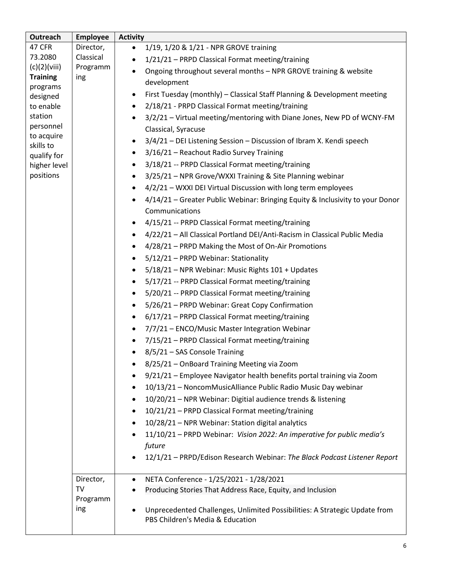| Outreach                 | <b>Employee</b> | <b>Activity</b>                                                                            |
|--------------------------|-----------------|--------------------------------------------------------------------------------------------|
| 47 CFR                   | Director,       | 1/19, 1/20 & 1/21 - NPR GROVE training<br>$\bullet$                                        |
| 73.2080                  | Classical       | 1/21/21 - PRPD Classical Format meeting/training                                           |
| (c)(2)(viii)             | Programm        | Ongoing throughout several months - NPR GROVE training & website<br>$\bullet$              |
| <b>Training</b>          | ing             | development                                                                                |
| programs<br>designed     |                 | First Tuesday (monthly) - Classical Staff Planning & Development meeting<br>$\bullet$      |
| to enable                |                 | 2/18/21 - PRPD Classical Format meeting/training<br>$\bullet$                              |
| station                  |                 | 3/2/21 - Virtual meeting/mentoring with Diane Jones, New PD of WCNY-FM                     |
| personnel                |                 | Classical, Syracuse                                                                        |
| to acquire               |                 | 3/4/21 - DEI Listening Session - Discussion of Ibram X. Kendi speech                       |
| skills to<br>qualify for |                 | 3/16/21 - Reachout Radio Survey Training<br>$\bullet$                                      |
| higher level             |                 | 3/18/21 -- PRPD Classical Format meeting/training<br>$\bullet$                             |
| positions                |                 | 3/25/21 - NPR Grove/WXXI Training & Site Planning webinar<br>$\bullet$                     |
|                          |                 | 4/2/21 - WXXI DEI Virtual Discussion with long term employees<br>$\bullet$                 |
|                          |                 | 4/14/21 - Greater Public Webinar: Bringing Equity & Inclusivity to your Donor<br>$\bullet$ |
|                          |                 | Communications                                                                             |
|                          |                 | 4/15/21 -- PRPD Classical Format meeting/training                                          |
|                          |                 | 4/22/21 - All Classical Portland DEI/Anti-Racism in Classical Public Media<br>$\bullet$    |
|                          |                 | 4/28/21 – PRPD Making the Most of On-Air Promotions<br>$\bullet$                           |
|                          |                 | 5/12/21 - PRPD Webinar: Stationality<br>$\bullet$                                          |
|                          |                 | 5/18/21 - NPR Webinar: Music Rights 101 + Updates<br>$\bullet$                             |
|                          |                 | 5/17/21 -- PRPD Classical Format meeting/training<br>$\bullet$                             |
|                          |                 | 5/20/21 -- PRPD Classical Format meeting/training<br>$\bullet$                             |
|                          |                 | 5/26/21 - PRPD Webinar: Great Copy Confirmation<br>$\bullet$                               |
|                          |                 | 6/17/21 - PRPD Classical Format meeting/training<br>$\bullet$                              |
|                          |                 | 7/7/21 - ENCO/Music Master Integration Webinar<br>$\bullet$                                |
|                          |                 | 7/15/21 - PRPD Classical Format meeting/training<br>$\bullet$                              |
|                          |                 | 8/5/21 - SAS Console Training                                                              |
|                          |                 | 8/25/21 - OnBoard Training Meeting via Zoom                                                |
|                          |                 | 9/21/21 - Employee Navigator health benefits portal training via Zoom                      |
|                          |                 | 10/13/21 - NoncomMusicAlliance Public Radio Music Day webinar                              |
|                          |                 | 10/20/21 - NPR Webinar: Digitial audience trends & listening<br>٠                          |
|                          |                 | 10/21/21 - PRPD Classical Format meeting/training<br>٠                                     |
|                          |                 | 10/28/21 - NPR Webinar: Station digital analytics                                          |
|                          |                 | 11/10/21 - PRPD Webinar: Vision 2022: An imperative for public media's                     |
|                          |                 | future                                                                                     |
|                          |                 | 12/1/21 - PRPD/Edison Research Webinar: The Black Podcast Listener Report                  |
|                          |                 |                                                                                            |
|                          | Director,       | NETA Conference - 1/25/2021 - 1/28/2021<br>$\bullet$                                       |
|                          | TV              | Producing Stories That Address Race, Equity, and Inclusion                                 |
|                          | Programm        |                                                                                            |
|                          | ing             | Unprecedented Challenges, Unlimited Possibilities: A Strategic Update from                 |
|                          |                 | PBS Children's Media & Education                                                           |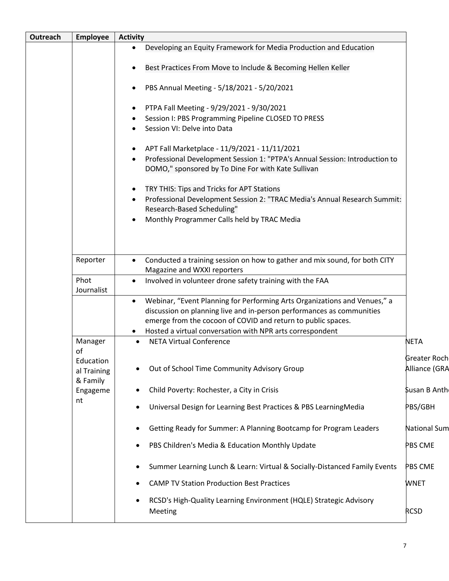| Outreach              | <b>Employee</b>                            | <b>Activity</b>                                                                                                                                                                                                                                                                                           |                                      |
|-----------------------|--------------------------------------------|-----------------------------------------------------------------------------------------------------------------------------------------------------------------------------------------------------------------------------------------------------------------------------------------------------------|--------------------------------------|
|                       |                                            | Developing an Equity Framework for Media Production and Education<br>$\bullet$                                                                                                                                                                                                                            |                                      |
|                       |                                            | Best Practices From Move to Include & Becoming Hellen Keller<br>$\bullet$                                                                                                                                                                                                                                 |                                      |
|                       |                                            | PBS Annual Meeting - 5/18/2021 - 5/20/2021<br>$\bullet$                                                                                                                                                                                                                                                   |                                      |
|                       |                                            | PTPA Fall Meeting - 9/29/2021 - 9/30/2021<br>$\bullet$<br>Session I: PBS Programming Pipeline CLOSED TO PRESS<br>$\bullet$<br>Session VI: Delve into Data                                                                                                                                                 |                                      |
|                       |                                            | APT Fall Marketplace - 11/9/2021 - 11/11/2021<br>$\bullet$<br>Professional Development Session 1: "PTPA's Annual Session: Introduction to<br>DOMO," sponsored by To Dine For with Kate Sullivan                                                                                                           |                                      |
|                       |                                            | TRY THIS: Tips and Tricks for APT Stations<br>$\bullet$<br>Professional Development Session 2: "TRAC Media's Annual Research Summit:<br>$\bullet$<br>Research-Based Scheduling"<br>Monthly Programmer Calls held by TRAC Media<br>$\bullet$                                                               |                                      |
| Reporter<br>$\bullet$ |                                            | Conducted a training session on how to gather and mix sound, for both CITY<br>Magazine and WXXI reporters                                                                                                                                                                                                 |                                      |
|                       | Phot<br>Journalist                         | Involved in volunteer drone safety training with the FAA<br>$\bullet$                                                                                                                                                                                                                                     |                                      |
|                       |                                            | Webinar, "Event Planning for Performing Arts Organizations and Venues," a<br>$\bullet$<br>discussion on planning live and in-person performances as communities<br>emerge from the cocoon of COVID and return to public spaces.<br>Hosted a virtual conversation with NPR arts correspondent<br>$\bullet$ |                                      |
|                       | Manager                                    | <b>NETA Virtual Conference</b>                                                                                                                                                                                                                                                                            | NETA                                 |
|                       | of<br>Education<br>al Training<br>& Family | Out of School Time Community Advisory Group                                                                                                                                                                                                                                                               | <b>Greater Roch</b><br>Alliance (GRA |
|                       | Engageme                                   | Child Poverty: Rochester, a City in Crisis                                                                                                                                                                                                                                                                | Susan B Anth                         |
|                       | nt                                         | Universal Design for Learning Best Practices & PBS LearningMedia                                                                                                                                                                                                                                          | PBS/GBH                              |
|                       |                                            | Getting Ready for Summer: A Planning Bootcamp for Program Leaders                                                                                                                                                                                                                                         | <b>National Sum</b>                  |
|                       |                                            | PBS Children's Media & Education Monthly Update                                                                                                                                                                                                                                                           | PBS CME                              |
|                       |                                            | Summer Learning Lunch & Learn: Virtual & Socially-Distanced Family Events                                                                                                                                                                                                                                 | PBS CME                              |
|                       |                                            | <b>CAMP TV Station Production Best Practices</b>                                                                                                                                                                                                                                                          | WNET                                 |
|                       |                                            | RCSD's High-Quality Learning Environment (HQLE) Strategic Advisory<br>Meeting                                                                                                                                                                                                                             | <b>RCSD</b>                          |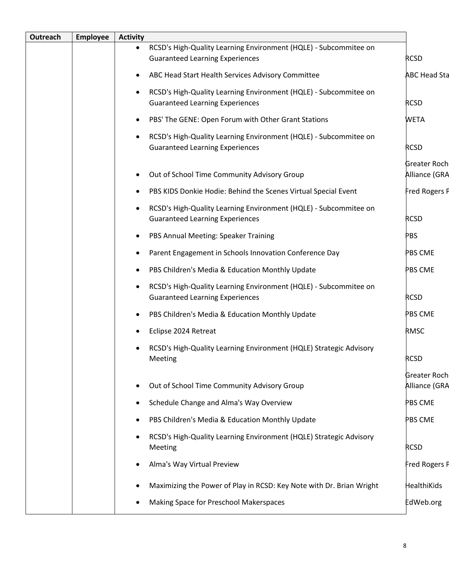| Outreach | <b>Employee</b> | <b>Activity</b>                                                                                                         |                               |
|----------|-----------------|-------------------------------------------------------------------------------------------------------------------------|-------------------------------|
|          |                 | RCSD's High-Quality Learning Environment (HQLE) - Subcommitee on<br>$\bullet$<br><b>Guaranteed Learning Experiences</b> | <b>RCSD</b>                   |
|          |                 | ABC Head Start Health Services Advisory Committee                                                                       | <b>ABC Head Sta</b>           |
|          |                 | RCSD's High-Quality Learning Environment (HQLE) - Subcommitee on                                                        |                               |
|          |                 | <b>Guaranteed Learning Experiences</b>                                                                                  | <b>RCSD</b>                   |
|          |                 | PBS' The GENE: Open Forum with Other Grant Stations                                                                     | <b>WETA</b>                   |
|          |                 | RCSD's High-Quality Learning Environment (HQLE) - Subcommitee on<br><b>Guaranteed Learning Experiences</b>              | <b>RCSD</b>                   |
|          |                 | Out of School Time Community Advisory Group                                                                             | Greater Roch<br>Alliance (GRA |
|          |                 | PBS KIDS Donkie Hodie: Behind the Scenes Virtual Special Event                                                          | Fred Rogers F                 |
|          |                 | RCSD's High-Quality Learning Environment (HQLE) - Subcommitee on<br><b>Guaranteed Learning Experiences</b>              | <b>RCSD</b>                   |
|          |                 | PBS Annual Meeting: Speaker Training                                                                                    | <b>PBS</b>                    |
|          |                 | Parent Engagement in Schools Innovation Conference Day                                                                  | PBS CME                       |
|          |                 | PBS Children's Media & Education Monthly Update                                                                         | PBS CME                       |
|          |                 | RCSD's High-Quality Learning Environment (HQLE) - Subcommitee on<br><b>Guaranteed Learning Experiences</b>              | <b>RCSD</b>                   |
|          |                 | PBS Children's Media & Education Monthly Update                                                                         | PBS CME                       |
|          |                 | Eclipse 2024 Retreat                                                                                                    | <b>RMSC</b>                   |
|          |                 | RCSD's High-Quality Learning Environment (HQLE) Strategic Advisory<br>Meeting                                           | <b>RCSD</b>                   |
|          |                 | Out of School Time Community Advisory Group                                                                             | Greater Roch<br>Alliance (GRA |
|          |                 | Schedule Change and Alma's Way Overview<br>$\bullet$                                                                    | PBS CME                       |
|          |                 | PBS Children's Media & Education Monthly Update                                                                         | PBS CME                       |
|          |                 | RCSD's High-Quality Learning Environment (HQLE) Strategic Advisory<br>Meeting                                           | <b>RCSD</b>                   |
|          |                 | Alma's Way Virtual Preview                                                                                              | Fred Rogers F                 |
|          |                 | Maximizing the Power of Play in RCSD: Key Note with Dr. Brian Wright                                                    | HealthiKids                   |
|          |                 | Making Space for Preschool Makerspaces                                                                                  | EdWeb.org                     |
|          |                 |                                                                                                                         |                               |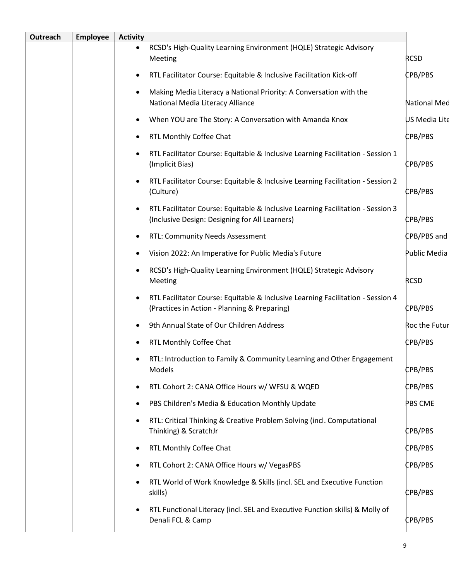| RCSD's High-Quality Learning Environment (HQLE) Strategic Advisory<br>$\bullet$<br><b>RCSD</b><br>Meeting<br>CPB/PBS<br>RTL Facilitator Course: Equitable & Inclusive Facilitation Kick-off<br>Making Media Literacy a National Priority: A Conversation with the<br>National Media Literacy Alliance<br>When YOU are The Story: A Conversation with Amanda Knox<br>CPB/PBS<br>RTL Monthly Coffee Chat<br>RTL Facilitator Course: Equitable & Inclusive Learning Facilitation - Session 1<br>CPB/PBS<br>(Implicit Bias)<br>RTL Facilitator Course: Equitable & Inclusive Learning Facilitation - Session 2<br>(Culture)<br>CPB/PBS<br>RTL Facilitator Course: Equitable & Inclusive Learning Facilitation - Session 3<br>(Inclusive Design: Designing for All Learners)<br>CPB/PBS<br>RTL: Community Needs Assessment<br>Vision 2022: An Imperative for Public Media's Future<br>RCSD's High-Quality Learning Environment (HQLE) Strategic Advisory<br><b>RCSD</b><br>Meeting<br>RTL Facilitator Course: Equitable & Inclusive Learning Facilitation - Session 4<br>CPB/PBS<br>(Practices in Action - Planning & Preparing)<br>9th Annual State of Our Children Address<br>CPB/PBS<br>RTL Monthly Coffee Chat<br>RTL: Introduction to Family & Community Learning and Other Engagement<br><b>CPB/PBS</b><br>Models<br>RTL Cohort 2: CANA Office Hours w/ WFSU & WQED<br>CPB/PBS<br>PBS Children's Media & Education Monthly Update<br>PBS CME<br>RTL: Critical Thinking & Creative Problem Solving (incl. Computational<br>CPB/PBS<br>Thinking) & ScratchJr<br>CPB/PBS<br>RTL Monthly Coffee Chat<br>CPB/PBS<br>RTL Cohort 2: CANA Office Hours w/ VegasPBS<br>RTL World of Work Knowledge & Skills (incl. SEL and Executive Function<br>CPB/PBS<br>skills)<br>RTL Functional Literacy (incl. SEL and Executive Function skills) & Molly of<br>Denali FCL & Camp<br>CPB/PBS | Outreach | <b>Employee</b> | <b>Activity</b> |                     |
|-----------------------------------------------------------------------------------------------------------------------------------------------------------------------------------------------------------------------------------------------------------------------------------------------------------------------------------------------------------------------------------------------------------------------------------------------------------------------------------------------------------------------------------------------------------------------------------------------------------------------------------------------------------------------------------------------------------------------------------------------------------------------------------------------------------------------------------------------------------------------------------------------------------------------------------------------------------------------------------------------------------------------------------------------------------------------------------------------------------------------------------------------------------------------------------------------------------------------------------------------------------------------------------------------------------------------------------------------------------------------------------------------------------------------------------------------------------------------------------------------------------------------------------------------------------------------------------------------------------------------------------------------------------------------------------------------------------------------------------------------------------------------------------------------------------------------------------------------------------------------------|----------|-----------------|-----------------|---------------------|
|                                                                                                                                                                                                                                                                                                                                                                                                                                                                                                                                                                                                                                                                                                                                                                                                                                                                                                                                                                                                                                                                                                                                                                                                                                                                                                                                                                                                                                                                                                                                                                                                                                                                                                                                                                                                                                                                             |          |                 |                 |                     |
|                                                                                                                                                                                                                                                                                                                                                                                                                                                                                                                                                                                                                                                                                                                                                                                                                                                                                                                                                                                                                                                                                                                                                                                                                                                                                                                                                                                                                                                                                                                                                                                                                                                                                                                                                                                                                                                                             |          |                 |                 |                     |
|                                                                                                                                                                                                                                                                                                                                                                                                                                                                                                                                                                                                                                                                                                                                                                                                                                                                                                                                                                                                                                                                                                                                                                                                                                                                                                                                                                                                                                                                                                                                                                                                                                                                                                                                                                                                                                                                             |          |                 |                 | <b>National Med</b> |
|                                                                                                                                                                                                                                                                                                                                                                                                                                                                                                                                                                                                                                                                                                                                                                                                                                                                                                                                                                                                                                                                                                                                                                                                                                                                                                                                                                                                                                                                                                                                                                                                                                                                                                                                                                                                                                                                             |          |                 |                 | US Media Lite       |
|                                                                                                                                                                                                                                                                                                                                                                                                                                                                                                                                                                                                                                                                                                                                                                                                                                                                                                                                                                                                                                                                                                                                                                                                                                                                                                                                                                                                                                                                                                                                                                                                                                                                                                                                                                                                                                                                             |          |                 |                 |                     |
|                                                                                                                                                                                                                                                                                                                                                                                                                                                                                                                                                                                                                                                                                                                                                                                                                                                                                                                                                                                                                                                                                                                                                                                                                                                                                                                                                                                                                                                                                                                                                                                                                                                                                                                                                                                                                                                                             |          |                 |                 |                     |
|                                                                                                                                                                                                                                                                                                                                                                                                                                                                                                                                                                                                                                                                                                                                                                                                                                                                                                                                                                                                                                                                                                                                                                                                                                                                                                                                                                                                                                                                                                                                                                                                                                                                                                                                                                                                                                                                             |          |                 |                 |                     |
|                                                                                                                                                                                                                                                                                                                                                                                                                                                                                                                                                                                                                                                                                                                                                                                                                                                                                                                                                                                                                                                                                                                                                                                                                                                                                                                                                                                                                                                                                                                                                                                                                                                                                                                                                                                                                                                                             |          |                 |                 |                     |
|                                                                                                                                                                                                                                                                                                                                                                                                                                                                                                                                                                                                                                                                                                                                                                                                                                                                                                                                                                                                                                                                                                                                                                                                                                                                                                                                                                                                                                                                                                                                                                                                                                                                                                                                                                                                                                                                             |          |                 |                 | CPB/PBS and         |
|                                                                                                                                                                                                                                                                                                                                                                                                                                                                                                                                                                                                                                                                                                                                                                                                                                                                                                                                                                                                                                                                                                                                                                                                                                                                                                                                                                                                                                                                                                                                                                                                                                                                                                                                                                                                                                                                             |          |                 |                 | Public Media        |
|                                                                                                                                                                                                                                                                                                                                                                                                                                                                                                                                                                                                                                                                                                                                                                                                                                                                                                                                                                                                                                                                                                                                                                                                                                                                                                                                                                                                                                                                                                                                                                                                                                                                                                                                                                                                                                                                             |          |                 |                 |                     |
|                                                                                                                                                                                                                                                                                                                                                                                                                                                                                                                                                                                                                                                                                                                                                                                                                                                                                                                                                                                                                                                                                                                                                                                                                                                                                                                                                                                                                                                                                                                                                                                                                                                                                                                                                                                                                                                                             |          |                 |                 |                     |
|                                                                                                                                                                                                                                                                                                                                                                                                                                                                                                                                                                                                                                                                                                                                                                                                                                                                                                                                                                                                                                                                                                                                                                                                                                                                                                                                                                                                                                                                                                                                                                                                                                                                                                                                                                                                                                                                             |          |                 |                 | Roc the Futur       |
|                                                                                                                                                                                                                                                                                                                                                                                                                                                                                                                                                                                                                                                                                                                                                                                                                                                                                                                                                                                                                                                                                                                                                                                                                                                                                                                                                                                                                                                                                                                                                                                                                                                                                                                                                                                                                                                                             |          |                 |                 |                     |
|                                                                                                                                                                                                                                                                                                                                                                                                                                                                                                                                                                                                                                                                                                                                                                                                                                                                                                                                                                                                                                                                                                                                                                                                                                                                                                                                                                                                                                                                                                                                                                                                                                                                                                                                                                                                                                                                             |          |                 |                 |                     |
|                                                                                                                                                                                                                                                                                                                                                                                                                                                                                                                                                                                                                                                                                                                                                                                                                                                                                                                                                                                                                                                                                                                                                                                                                                                                                                                                                                                                                                                                                                                                                                                                                                                                                                                                                                                                                                                                             |          |                 |                 |                     |
|                                                                                                                                                                                                                                                                                                                                                                                                                                                                                                                                                                                                                                                                                                                                                                                                                                                                                                                                                                                                                                                                                                                                                                                                                                                                                                                                                                                                                                                                                                                                                                                                                                                                                                                                                                                                                                                                             |          |                 |                 |                     |
|                                                                                                                                                                                                                                                                                                                                                                                                                                                                                                                                                                                                                                                                                                                                                                                                                                                                                                                                                                                                                                                                                                                                                                                                                                                                                                                                                                                                                                                                                                                                                                                                                                                                                                                                                                                                                                                                             |          |                 |                 |                     |
|                                                                                                                                                                                                                                                                                                                                                                                                                                                                                                                                                                                                                                                                                                                                                                                                                                                                                                                                                                                                                                                                                                                                                                                                                                                                                                                                                                                                                                                                                                                                                                                                                                                                                                                                                                                                                                                                             |          |                 |                 |                     |
|                                                                                                                                                                                                                                                                                                                                                                                                                                                                                                                                                                                                                                                                                                                                                                                                                                                                                                                                                                                                                                                                                                                                                                                                                                                                                                                                                                                                                                                                                                                                                                                                                                                                                                                                                                                                                                                                             |          |                 |                 |                     |
|                                                                                                                                                                                                                                                                                                                                                                                                                                                                                                                                                                                                                                                                                                                                                                                                                                                                                                                                                                                                                                                                                                                                                                                                                                                                                                                                                                                                                                                                                                                                                                                                                                                                                                                                                                                                                                                                             |          |                 |                 |                     |
|                                                                                                                                                                                                                                                                                                                                                                                                                                                                                                                                                                                                                                                                                                                                                                                                                                                                                                                                                                                                                                                                                                                                                                                                                                                                                                                                                                                                                                                                                                                                                                                                                                                                                                                                                                                                                                                                             |          |                 |                 |                     |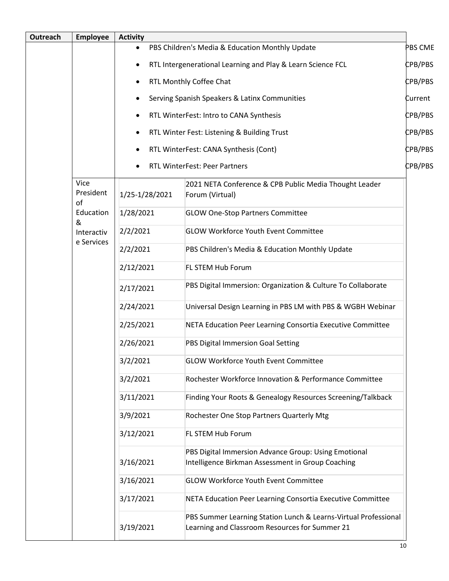| Outreach | <b>Employee</b>         | <b>Activity</b>                                             |                                                                                                                   |         |
|----------|-------------------------|-------------------------------------------------------------|-------------------------------------------------------------------------------------------------------------------|---------|
|          |                         | $\bullet$                                                   | PBS Children's Media & Education Monthly Update                                                                   | PBS CME |
|          |                         | RTL Intergenerational Learning and Play & Learn Science FCL |                                                                                                                   | CPB/PBS |
|          |                         | ٠                                                           | RTL Monthly Coffee Chat                                                                                           | CPB/PBS |
|          |                         | ٠                                                           | Serving Spanish Speakers & Latinx Communities                                                                     | Current |
|          |                         | ٠                                                           | RTL WinterFest: Intro to CANA Synthesis                                                                           | CPB/PBS |
|          |                         | ٠                                                           | RTL Winter Fest: Listening & Building Trust                                                                       | CPB/PBS |
|          |                         | ٠                                                           | RTL WinterFest: CANA Synthesis (Cont)                                                                             | CPB/PBS |
|          |                         |                                                             | RTL WinterFest: Peer Partners                                                                                     | CPB/PBS |
|          | Vice<br>President<br>of | 1/25-1/28/2021                                              | 2021 NETA Conference & CPB Public Media Thought Leader<br>Forum (Virtual)                                         |         |
|          | Education<br>&          | 1/28/2021                                                   | <b>GLOW One-Stop Partners Committee</b>                                                                           |         |
|          | Interactiv              | 2/2/2021                                                    | <b>GLOW Workforce Youth Event Committee</b>                                                                       |         |
|          | e Services              | 2/2/2021                                                    | PBS Children's Media & Education Monthly Update                                                                   |         |
|          |                         | 2/12/2021                                                   | FL STEM Hub Forum                                                                                                 |         |
|          |                         | 2/17/2021                                                   | PBS Digital Immersion: Organization & Culture To Collaborate                                                      |         |
|          |                         | 2/24/2021                                                   | Universal Design Learning in PBS LM with PBS & WGBH Webinar                                                       |         |
|          |                         | 2/25/2021                                                   | NETA Education Peer Learning Consortia Executive Committee                                                        |         |
|          |                         | 2/26/2021                                                   | PBS Digital Immersion Goal Setting                                                                                |         |
|          |                         | 3/2/2021                                                    | GLOW Workforce Youth Event Committee                                                                              |         |
|          |                         | 3/2/2021                                                    | Rochester Workforce Innovation & Performance Committee                                                            |         |
|          |                         | 3/11/2021                                                   | Finding Your Roots & Genealogy Resources Screening/Talkback                                                       |         |
|          |                         | 3/9/2021                                                    | Rochester One Stop Partners Quarterly Mtg                                                                         |         |
|          |                         | 3/12/2021                                                   | FL STEM Hub Forum                                                                                                 |         |
|          |                         |                                                             | PBS Digital Immersion Advance Group: Using Emotional                                                              |         |
|          |                         | 3/16/2021                                                   | Intelligence Birkman Assessment in Group Coaching                                                                 |         |
|          |                         | 3/16/2021                                                   | <b>GLOW Workforce Youth Event Committee</b>                                                                       |         |
|          |                         | 3/17/2021                                                   | NETA Education Peer Learning Consortia Executive Committee                                                        |         |
|          |                         | 3/19/2021                                                   | PBS Summer Learning Station Lunch & Learns-Virtual Professional<br>Learning and Classroom Resources for Summer 21 |         |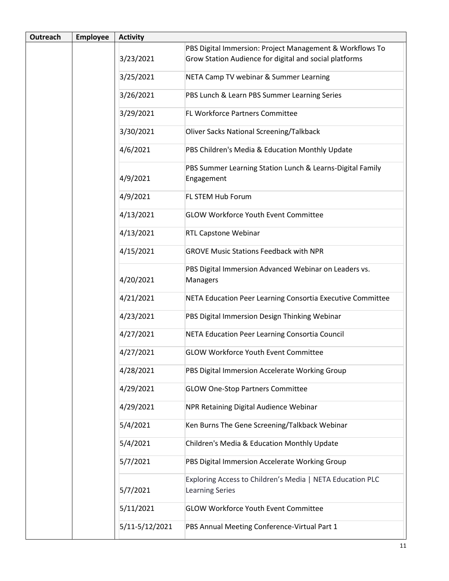| <b>Outreach</b> | <b>Employee</b> | <b>Activity</b> |                                                                                     |
|-----------------|-----------------|-----------------|-------------------------------------------------------------------------------------|
|                 |                 |                 | PBS Digital Immersion: Project Management & Workflows To                            |
|                 |                 | 3/23/2021       | Grow Station Audience for digital and social platforms                              |
|                 |                 | 3/25/2021       | NETA Camp TV webinar & Summer Learning                                              |
|                 |                 | 3/26/2021       | PBS Lunch & Learn PBS Summer Learning Series                                        |
|                 |                 | 3/29/2021       | FL Workforce Partners Committee                                                     |
|                 |                 | 3/30/2021       | <b>Oliver Sacks National Screening/Talkback</b>                                     |
|                 |                 | 4/6/2021        | PBS Children's Media & Education Monthly Update                                     |
|                 |                 | 4/9/2021        | PBS Summer Learning Station Lunch & Learns-Digital Family<br>Engagement             |
|                 |                 | 4/9/2021        | FL STEM Hub Forum                                                                   |
|                 |                 | 4/13/2021       | <b>GLOW Workforce Youth Event Committee</b>                                         |
|                 |                 | 4/13/2021       | <b>RTL Capstone Webinar</b>                                                         |
|                 |                 | 4/15/2021       | <b>GROVE Music Stations Feedback with NPR</b>                                       |
|                 |                 | 4/20/2021       | PBS Digital Immersion Advanced Webinar on Leaders vs.<br><b>Managers</b>            |
|                 |                 | 4/21/2021       | NETA Education Peer Learning Consortia Executive Committee                          |
|                 |                 | 4/23/2021       | PBS Digital Immersion Design Thinking Webinar                                       |
|                 |                 | 4/27/2021       | NETA Education Peer Learning Consortia Council                                      |
|                 |                 | 4/27/2021       | <b>GLOW Workforce Youth Event Committee</b>                                         |
|                 |                 | 4/28/2021       | PBS Digital Immersion Accelerate Working Group                                      |
|                 |                 | 4/29/2021       | <b>GLOW One-Stop Partners Committee</b>                                             |
|                 |                 | 4/29/2021       | NPR Retaining Digital Audience Webinar                                              |
|                 |                 | 5/4/2021        | Ken Burns The Gene Screening/Talkback Webinar                                       |
|                 |                 | 5/4/2021        | Children's Media & Education Monthly Update                                         |
|                 |                 | 5/7/2021        | PBS Digital Immersion Accelerate Working Group                                      |
|                 |                 | 5/7/2021        | Exploring Access to Children's Media   NETA Education PLC<br><b>Learning Series</b> |
|                 |                 | 5/11/2021       | <b>GLOW Workforce Youth Event Committee</b>                                         |
|                 |                 | 5/11-5/12/2021  | PBS Annual Meeting Conference-Virtual Part 1                                        |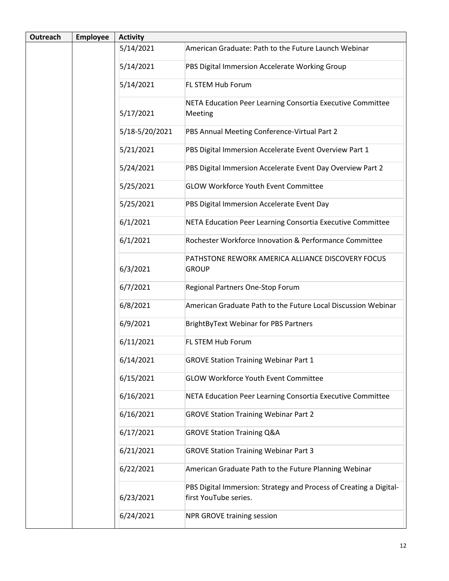| <b>Outreach</b> | <b>Employee</b> | <b>Activity</b> |                                                                                             |
|-----------------|-----------------|-----------------|---------------------------------------------------------------------------------------------|
|                 |                 | 5/14/2021       | American Graduate: Path to the Future Launch Webinar                                        |
|                 |                 | 5/14/2021       | PBS Digital Immersion Accelerate Working Group                                              |
|                 |                 | 5/14/2021       | FL STEM Hub Forum                                                                           |
|                 |                 | 5/17/2021       | NETA Education Peer Learning Consortia Executive Committee<br>Meeting                       |
|                 |                 | 5/18-5/20/2021  | PBS Annual Meeting Conference-Virtual Part 2                                                |
|                 |                 | 5/21/2021       | PBS Digital Immersion Accelerate Event Overview Part 1                                      |
|                 |                 | 5/24/2021       | PBS Digital Immersion Accelerate Event Day Overview Part 2                                  |
|                 |                 | 5/25/2021       | <b>GLOW Workforce Youth Event Committee</b>                                                 |
|                 |                 | 5/25/2021       | PBS Digital Immersion Accelerate Event Day                                                  |
|                 |                 | 6/1/2021        | NETA Education Peer Learning Consortia Executive Committee                                  |
|                 |                 | 6/1/2021        | Rochester Workforce Innovation & Performance Committee                                      |
|                 |                 | 6/3/2021        | PATHSTONE REWORK AMERICA ALLIANCE DISCOVERY FOCUS<br><b>GROUP</b>                           |
|                 |                 | 6/7/2021        | Regional Partners One-Stop Forum                                                            |
|                 |                 | 6/8/2021        | American Graduate Path to the Future Local Discussion Webinar                               |
|                 |                 | 6/9/2021        | <b>BrightByText Webinar for PBS Partners</b>                                                |
|                 |                 | 6/11/2021       | FL STEM Hub Forum                                                                           |
|                 |                 | 6/14/2021       | <b>GROVE Station Training Webinar Part 1</b>                                                |
|                 |                 | 6/15/2021       | <b>GLOW Workforce Youth Event Committee</b>                                                 |
|                 |                 | 6/16/2021       | NETA Education Peer Learning Consortia Executive Committee                                  |
|                 |                 | 6/16/2021       | <b>GROVE Station Training Webinar Part 2</b>                                                |
|                 |                 | 6/17/2021       | <b>GROVE Station Training Q&amp;A</b>                                                       |
|                 |                 | 6/21/2021       | <b>GROVE Station Training Webinar Part 3</b>                                                |
|                 |                 | 6/22/2021       | American Graduate Path to the Future Planning Webinar                                       |
|                 |                 | 6/23/2021       | PBS Digital Immersion: Strategy and Process of Creating a Digital-<br>first YouTube series. |
|                 |                 | 6/24/2021       | <b>NPR GROVE training session</b>                                                           |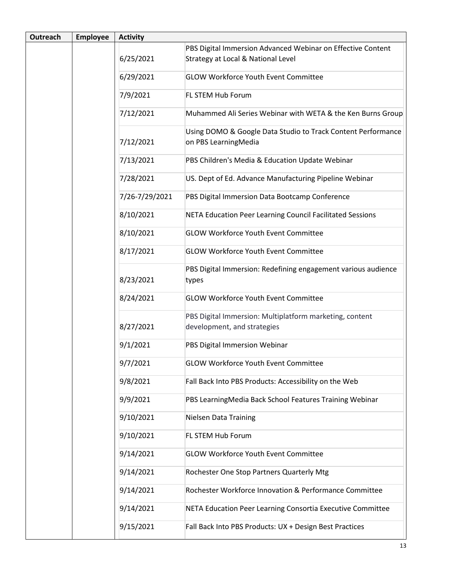| <b>Outreach</b> | <b>Employee</b> | <b>Activity</b> |                                                                                        |
|-----------------|-----------------|-----------------|----------------------------------------------------------------------------------------|
|                 |                 |                 | PBS Digital Immersion Advanced Webinar on Effective Content                            |
|                 |                 | 6/25/2021       | Strategy at Local & National Level                                                     |
|                 |                 | 6/29/2021       | <b>GLOW Workforce Youth Event Committee</b>                                            |
|                 |                 | 7/9/2021        | FL STEM Hub Forum                                                                      |
|                 |                 | 7/12/2021       | Muhammed Ali Series Webinar with WETA & the Ken Burns Group                            |
|                 |                 | 7/12/2021       | Using DOMO & Google Data Studio to Track Content Performance<br>on PBS LearningMedia   |
|                 |                 | 7/13/2021       | PBS Children's Media & Education Update Webinar                                        |
|                 |                 | 7/28/2021       | US. Dept of Ed. Advance Manufacturing Pipeline Webinar                                 |
|                 |                 | 7/26-7/29/2021  | PBS Digital Immersion Data Bootcamp Conference                                         |
|                 |                 | 8/10/2021       | NETA Education Peer Learning Council Facilitated Sessions                              |
|                 |                 | 8/10/2021       | <b>GLOW Workforce Youth Event Committee</b>                                            |
|                 |                 | 8/17/2021       | <b>GLOW Workforce Youth Event Committee</b>                                            |
|                 |                 | 8/23/2021       | PBS Digital Immersion: Redefining engagement various audience<br>types                 |
|                 |                 | 8/24/2021       | <b>GLOW Workforce Youth Event Committee</b>                                            |
|                 |                 | 8/27/2021       | PBS Digital Immersion: Multiplatform marketing, content<br>development, and strategies |
|                 |                 | 9/1/2021        | PBS Digital Immersion Webinar                                                          |
|                 |                 | 9/7/2021        | <b>GLOW Workforce Youth Event Committee</b>                                            |
|                 |                 | 9/8/2021        | Fall Back Into PBS Products: Accessibility on the Web                                  |
|                 |                 | 9/9/2021        | PBS LearningMedia Back School Features Training Webinar                                |
|                 |                 | 9/10/2021       | <b>Nielsen Data Training</b>                                                           |
|                 |                 | 9/10/2021       | FL STEM Hub Forum                                                                      |
|                 |                 | 9/14/2021       | <b>GLOW Workforce Youth Event Committee</b>                                            |
|                 |                 | 9/14/2021       | Rochester One Stop Partners Quarterly Mtg                                              |
|                 |                 | 9/14/2021       | Rochester Workforce Innovation & Performance Committee                                 |
|                 |                 | 9/14/2021       | NETA Education Peer Learning Consortia Executive Committee                             |
|                 |                 | 9/15/2021       | Fall Back Into PBS Products: UX + Design Best Practices                                |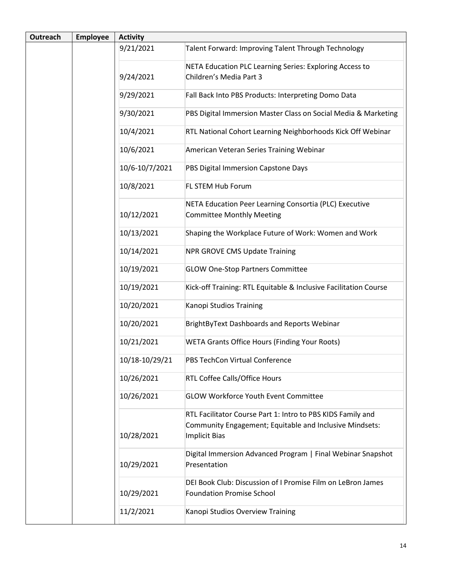| <b>Outreach</b> | <b>Employee</b> | <b>Activity</b> |                                                                                                 |
|-----------------|-----------------|-----------------|-------------------------------------------------------------------------------------------------|
|                 |                 | 9/21/2021       | Talent Forward: Improving Talent Through Technology                                             |
|                 |                 |                 | NETA Education PLC Learning Series: Exploring Access to                                         |
|                 |                 | 9/24/2021       | Children's Media Part 3                                                                         |
|                 |                 | 9/29/2021       | Fall Back Into PBS Products: Interpreting Domo Data                                             |
|                 |                 | 9/30/2021       | PBS Digital Immersion Master Class on Social Media & Marketing                                  |
|                 |                 | 10/4/2021       | RTL National Cohort Learning Neighborhoods Kick Off Webinar                                     |
|                 |                 | 10/6/2021       | American Veteran Series Training Webinar                                                        |
|                 |                 | 10/6-10/7/2021  | PBS Digital Immersion Capstone Days                                                             |
|                 |                 | 10/8/2021       | FL STEM Hub Forum                                                                               |
|                 |                 |                 | NETA Education Peer Learning Consortia (PLC) Executive                                          |
|                 |                 | 10/12/2021      | <b>Committee Monthly Meeting</b>                                                                |
|                 |                 | 10/13/2021      | Shaping the Workplace Future of Work: Women and Work                                            |
|                 |                 | 10/14/2021      | <b>NPR GROVE CMS Update Training</b>                                                            |
|                 |                 | 10/19/2021      | <b>GLOW One-Stop Partners Committee</b>                                                         |
|                 |                 | 10/19/2021      | Kick-off Training: RTL Equitable & Inclusive Facilitation Course                                |
|                 |                 | 10/20/2021      | Kanopi Studios Training                                                                         |
|                 |                 | 10/20/2021      | <b>BrightByText Dashboards and Reports Webinar</b>                                              |
|                 |                 | 10/21/2021      | <b>WETA Grants Office Hours (Finding Your Roots)</b>                                            |
|                 |                 | 10/18-10/29/21  | PBS TechCon Virtual Conference                                                                  |
|                 |                 | 10/26/2021      | RTL Coffee Calls/Office Hours                                                                   |
|                 |                 | 10/26/2021      | <b>GLOW Workforce Youth Event Committee</b>                                                     |
|                 |                 |                 | RTL Facilitator Course Part 1: Intro to PBS KIDS Family and                                     |
|                 |                 |                 | Community Engagement; Equitable and Inclusive Mindsets:                                         |
|                 |                 | 10/28/2021      | <b>Implicit Bias</b>                                                                            |
|                 |                 | 10/29/2021      | Digital Immersion Advanced Program   Final Webinar Snapshot<br>Presentation                     |
|                 |                 | 10/29/2021      | DEI Book Club: Discussion of I Promise Film on LeBron James<br><b>Foundation Promise School</b> |
|                 |                 | 11/2/2021       | Kanopi Studios Overview Training                                                                |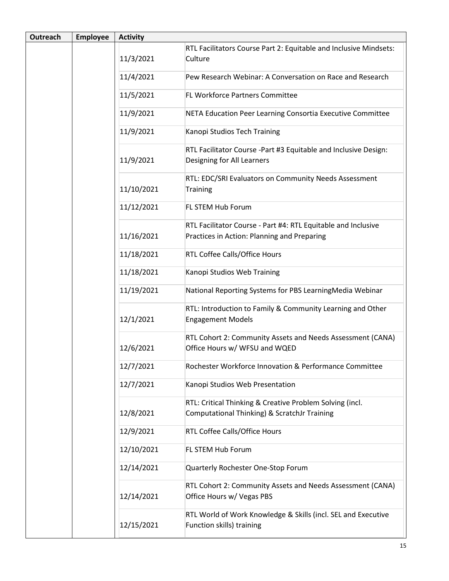| Outreach | <b>Employee</b> | <b>Activity</b> |                                                                                                              |
|----------|-----------------|-----------------|--------------------------------------------------------------------------------------------------------------|
|          |                 |                 | RTL Facilitators Course Part 2: Equitable and Inclusive Mindsets:                                            |
|          |                 | 11/3/2021       | Culture                                                                                                      |
|          |                 | 11/4/2021       | Pew Research Webinar: A Conversation on Race and Research                                                    |
|          |                 | 11/5/2021       | <b>FL Workforce Partners Committee</b>                                                                       |
|          |                 | 11/9/2021       | NETA Education Peer Learning Consortia Executive Committee                                                   |
|          |                 | 11/9/2021       | Kanopi Studios Tech Training                                                                                 |
|          |                 | 11/9/2021       | RTL Facilitator Course -Part #3 Equitable and Inclusive Design:<br>Designing for All Learners                |
|          |                 | 11/10/2021      | RTL: EDC/SRI Evaluators on Community Needs Assessment<br><b>Training</b>                                     |
|          |                 | 11/12/2021      | FL STEM Hub Forum                                                                                            |
|          |                 | 11/16/2021      | RTL Facilitator Course - Part #4: RTL Equitable and Inclusive<br>Practices in Action: Planning and Preparing |
|          |                 | 11/18/2021      | RTL Coffee Calls/Office Hours                                                                                |
|          |                 | 11/18/2021      | Kanopi Studios Web Training                                                                                  |
|          |                 | 11/19/2021      | National Reporting Systems for PBS LearningMedia Webinar                                                     |
|          |                 | 12/1/2021       | RTL: Introduction to Family & Community Learning and Other<br><b>Engagement Models</b>                       |
|          |                 | 12/6/2021       | RTL Cohort 2: Community Assets and Needs Assessment (CANA)<br>Office Hours w/ WFSU and WQED                  |
|          |                 | 12/7/2021       | Rochester Workforce Innovation & Performance Committee                                                       |
|          |                 | 12/7/2021       | Kanopi Studios Web Presentation                                                                              |
|          |                 | 12/8/2021       | RTL: Critical Thinking & Creative Problem Solving (incl.<br>Computational Thinking) & ScratchJr Training     |
|          |                 | 12/9/2021       | RTL Coffee Calls/Office Hours                                                                                |
|          |                 | 12/10/2021      | FL STEM Hub Forum                                                                                            |
|          |                 | 12/14/2021      | Quarterly Rochester One-Stop Forum                                                                           |
|          |                 | 12/14/2021      | RTL Cohort 2: Community Assets and Needs Assessment (CANA)<br>Office Hours w/ Vegas PBS                      |
|          |                 | 12/15/2021      | RTL World of Work Knowledge & Skills (incl. SEL and Executive<br>Function skills) training                   |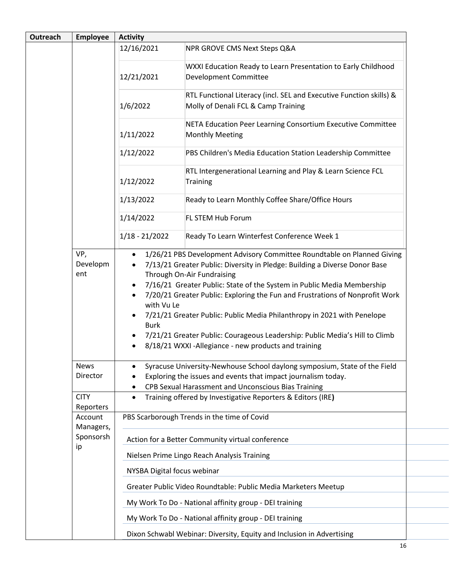| Outreach | <b>Employee</b>         | <b>Activity</b>                                                               |                                                                                                                                                                                                                                                                                                                                                                                                                                                                                       |
|----------|-------------------------|-------------------------------------------------------------------------------|---------------------------------------------------------------------------------------------------------------------------------------------------------------------------------------------------------------------------------------------------------------------------------------------------------------------------------------------------------------------------------------------------------------------------------------------------------------------------------------|
|          |                         | 12/16/2021                                                                    | NPR GROVE CMS Next Steps Q&A                                                                                                                                                                                                                                                                                                                                                                                                                                                          |
|          |                         | 12/21/2021                                                                    | WXXI Education Ready to Learn Presentation to Early Childhood<br>Development Committee                                                                                                                                                                                                                                                                                                                                                                                                |
|          |                         | 1/6/2022                                                                      | RTL Functional Literacy (incl. SEL and Executive Function skills) &<br>Molly of Denali FCL & Camp Training                                                                                                                                                                                                                                                                                                                                                                            |
|          |                         | 1/11/2022                                                                     | NETA Education Peer Learning Consortium Executive Committee<br><b>Monthly Meeting</b>                                                                                                                                                                                                                                                                                                                                                                                                 |
|          |                         | 1/12/2022                                                                     | PBS Children's Media Education Station Leadership Committee                                                                                                                                                                                                                                                                                                                                                                                                                           |
|          |                         | 1/12/2022                                                                     | RTL Intergenerational Learning and Play & Learn Science FCL<br><b>Training</b>                                                                                                                                                                                                                                                                                                                                                                                                        |
|          |                         | 1/13/2022                                                                     | Ready to Learn Monthly Coffee Share/Office Hours                                                                                                                                                                                                                                                                                                                                                                                                                                      |
|          |                         | 1/14/2022                                                                     | FL STEM Hub Forum                                                                                                                                                                                                                                                                                                                                                                                                                                                                     |
|          |                         | $1/18 - 21/2022$                                                              | Ready To Learn Winterfest Conference Week 1                                                                                                                                                                                                                                                                                                                                                                                                                                           |
|          | Developm<br>ent         | $\bullet$<br>$\bullet$<br>$\bullet$<br>with Vu Le<br>$\bullet$<br><b>Burk</b> | 7/13/21 Greater Public: Diversity in Pledge: Building a Diverse Donor Base<br>Through On-Air Fundraising<br>7/16/21 Greater Public: State of the System in Public Media Membership<br>7/20/21 Greater Public: Exploring the Fun and Frustrations of Nonprofit Work<br>7/21/21 Greater Public: Public Media Philanthropy in 2021 with Penelope<br>7/21/21 Greater Public: Courageous Leadership: Public Media's Hill to Climb<br>8/18/21 WXXI - Allegiance - new products and training |
|          | <b>News</b><br>Director | $\bullet$                                                                     | Syracuse University-Newhouse School daylong symposium, State of the Field<br>Exploring the issues and events that impact journalism today.                                                                                                                                                                                                                                                                                                                                            |
|          | <b>CITY</b>             |                                                                               | CPB Sexual Harassment and Unconscious Bias Training<br>Training offered by Investigative Reporters & Editors (IRE)                                                                                                                                                                                                                                                                                                                                                                    |
|          | Reporters               | $\bullet$                                                                     |                                                                                                                                                                                                                                                                                                                                                                                                                                                                                       |
|          | Account<br>Managers,    |                                                                               | PBS Scarborough Trends in the time of Covid                                                                                                                                                                                                                                                                                                                                                                                                                                           |
|          | Sponsorsh<br>ip         |                                                                               | Action for a Better Community virtual conference<br>Nielsen Prime Lingo Reach Analysis Training                                                                                                                                                                                                                                                                                                                                                                                       |
|          |                         | NYSBA Digital focus webinar                                                   |                                                                                                                                                                                                                                                                                                                                                                                                                                                                                       |
|          |                         |                                                                               | Greater Public Video Roundtable: Public Media Marketers Meetup                                                                                                                                                                                                                                                                                                                                                                                                                        |
|          |                         |                                                                               | My Work To Do - National affinity group - DEI training                                                                                                                                                                                                                                                                                                                                                                                                                                |
|          |                         |                                                                               | My Work To Do - National affinity group - DEI training                                                                                                                                                                                                                                                                                                                                                                                                                                |
|          |                         |                                                                               | Dixon Schwabl Webinar: Diversity, Equity and Inclusion in Advertising                                                                                                                                                                                                                                                                                                                                                                                                                 |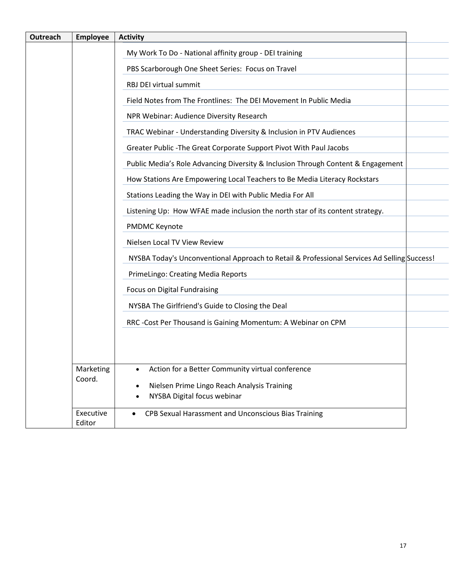| <b>Outreach</b> | <b>Employee</b>     | <b>Activity</b>                                                                             |
|-----------------|---------------------|---------------------------------------------------------------------------------------------|
|                 |                     | My Work To Do - National affinity group - DEI training                                      |
|                 |                     | PBS Scarborough One Sheet Series: Focus on Travel                                           |
|                 |                     | RBJ DEI virtual summit                                                                      |
|                 |                     | Field Notes from The Frontlines: The DEI Movement In Public Media                           |
|                 |                     | NPR Webinar: Audience Diversity Research                                                    |
|                 |                     | TRAC Webinar - Understanding Diversity & Inclusion in PTV Audiences                         |
|                 |                     | Greater Public - The Great Corporate Support Pivot With Paul Jacobs                         |
|                 |                     | Public Media's Role Advancing Diversity & Inclusion Through Content & Engagement            |
|                 |                     | How Stations Are Empowering Local Teachers to Be Media Literacy Rockstars                   |
|                 |                     | Stations Leading the Way in DEI with Public Media For All                                   |
|                 |                     | Listening Up: How WFAE made inclusion the north star of its content strategy.               |
|                 |                     | <b>PMDMC Keynote</b>                                                                        |
|                 |                     | Nielsen Local TV View Review                                                                |
|                 |                     | NYSBA Today's Unconventional Approach to Retail & Professional Services Ad Selling Success! |
|                 |                     | PrimeLingo: Creating Media Reports                                                          |
|                 |                     | Focus on Digital Fundraising                                                                |
|                 |                     | NYSBA The Girlfriend's Guide to Closing the Deal                                            |
|                 |                     | RRC - Cost Per Thousand is Gaining Momentum: A Webinar on CPM                               |
|                 |                     |                                                                                             |
|                 |                     |                                                                                             |
|                 | Marketing           | Action for a Better Community virtual conference                                            |
|                 | Coord.              | Nielsen Prime Lingo Reach Analysis Training                                                 |
|                 |                     | NYSBA Digital focus webinar                                                                 |
|                 | Executive<br>Editor | CPB Sexual Harassment and Unconscious Bias Training                                         |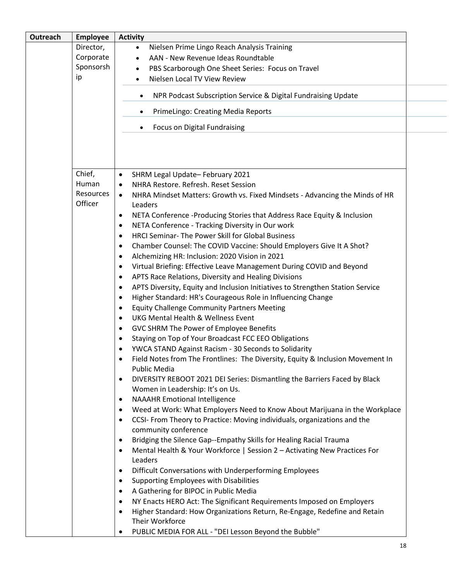| Outreach | <b>Employee</b>      | <b>Activity</b>                                                                                                  |
|----------|----------------------|------------------------------------------------------------------------------------------------------------------|
|          | Director,            | Nielsen Prime Lingo Reach Analysis Training<br>$\bullet$                                                         |
|          | Corporate            | AAN - New Revenue Ideas Roundtable                                                                               |
|          | Sponsorsh            | PBS Scarborough One Sheet Series: Focus on Travel<br>٠                                                           |
|          | ip                   | Nielsen Local TV View Review                                                                                     |
|          |                      | NPR Podcast Subscription Service & Digital Fundraising Update                                                    |
|          |                      | PrimeLingo: Creating Media Reports<br>$\bullet$                                                                  |
|          |                      | Focus on Digital Fundraising<br>$\bullet$                                                                        |
|          |                      |                                                                                                                  |
|          | Chief,               | SHRM Legal Update-February 2021<br>$\bullet$                                                                     |
|          | Human                | NHRA Restore, Refresh, Reset Session<br>$\bullet$                                                                |
|          | Resources<br>Officer | NHRA Mindset Matters: Growth vs. Fixed Mindsets - Advancing the Minds of HR<br>$\bullet$<br>Leaders              |
|          |                      | NETA Conference -Producing Stories that Address Race Equity & Inclusion<br>$\bullet$                             |
|          |                      | NETA Conference - Tracking Diversity in Our work<br>٠                                                            |
|          |                      | HRCI Seminar- The Power Skill for Global Business<br>٠                                                           |
|          |                      | Chamber Counsel: The COVID Vaccine: Should Employers Give It A Shot?<br>$\bullet$                                |
|          |                      | Alchemizing HR: Inclusion: 2020 Vision in 2021<br>٠                                                              |
|          |                      | Virtual Briefing: Effective Leave Management During COVID and Beyond<br>٠                                        |
|          |                      | APTS Race Relations, Diversity and Healing Divisions<br>$\bullet$                                                |
|          |                      | APTS Diversity, Equity and Inclusion Initiatives to Strengthen Station Service<br>$\bullet$                      |
|          |                      |                                                                                                                  |
|          |                      | Higher Standard: HR's Courageous Role in Influencing Change<br>$\bullet$                                         |
|          |                      | <b>Equity Challenge Community Partners Meeting</b><br>$\bullet$<br><b>UKG Mental Health &amp; Wellness Event</b> |
|          |                      | $\bullet$                                                                                                        |
|          |                      | GVC SHRM The Power of Employee Benefits<br>٠                                                                     |
|          |                      | Staying on Top of Your Broadcast FCC EEO Obligations<br>$\bullet$                                                |
|          |                      | YWCA STAND Against Racism - 30 Seconds to Solidarity                                                             |
|          |                      | Field Notes from The Frontlines: The Diversity, Equity & Inclusion Movement In<br>Public Media                   |
|          |                      | DIVERSITY REBOOT 2021 DEI Series: Dismantling the Barriers Faced by Black<br>٠                                   |
|          |                      | Women in Leadership: It's on Us.                                                                                 |
|          |                      | <b>NAAAHR Emotional Intelligence</b><br>$\bullet$                                                                |
|          |                      | Weed at Work: What Employers Need to Know About Marijuana in the Workplace<br>$\bullet$                          |
|          |                      | CCSI- From Theory to Practice: Moving individuals, organizations and the<br>$\bullet$                            |
|          |                      | community conference                                                                                             |
|          |                      | Bridging the Silence Gap--Empathy Skills for Healing Racial Trauma<br>$\bullet$                                  |
|          |                      | Mental Health & Your Workforce   Session 2 - Activating New Practices For<br>$\bullet$                           |
|          |                      | Leaders                                                                                                          |
|          |                      | Difficult Conversations with Underperforming Employees<br>$\bullet$                                              |
|          |                      | Supporting Employees with Disabilities<br>$\bullet$                                                              |
|          |                      | A Gathering for BIPOC in Public Media<br>$\bullet$                                                               |
|          |                      | NY Enacts HERO Act: The Significant Requirements Imposed on Employers<br>$\bullet$                               |
|          |                      | Higher Standard: How Organizations Return, Re-Engage, Redefine and Retain<br>$\bullet$                           |
|          |                      | Their Workforce                                                                                                  |
|          |                      | PUBLIC MEDIA FOR ALL - "DEI Lesson Beyond the Bubble"<br>٠                                                       |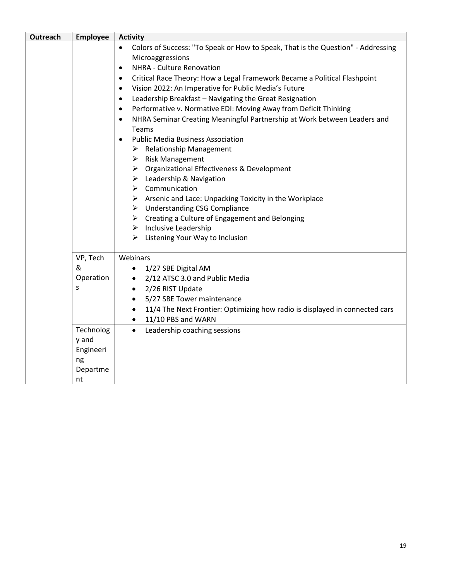| <b>Outreach</b> | <b>Employee</b> | <b>Activity</b>                                                                                                                                                                                                                                                                                                                                                                                                                                                                                                                                                                                                                                                                                                                                                                                                                                                                                                                                                                                                                                                                                     |
|-----------------|-----------------|-----------------------------------------------------------------------------------------------------------------------------------------------------------------------------------------------------------------------------------------------------------------------------------------------------------------------------------------------------------------------------------------------------------------------------------------------------------------------------------------------------------------------------------------------------------------------------------------------------------------------------------------------------------------------------------------------------------------------------------------------------------------------------------------------------------------------------------------------------------------------------------------------------------------------------------------------------------------------------------------------------------------------------------------------------------------------------------------------------|
|                 |                 | Colors of Success: "To Speak or How to Speak, That is the Question" - Addressing<br>$\bullet$<br>Microaggressions<br>NHRA - Culture Renovation<br>$\bullet$<br>Critical Race Theory: How a Legal Framework Became a Political Flashpoint<br>$\bullet$<br>Vision 2022: An Imperative for Public Media's Future<br>$\bullet$<br>Leadership Breakfast - Navigating the Great Resignation<br>$\bullet$<br>Performative v. Normative EDI: Moving Away from Deficit Thinking<br>$\bullet$<br>NHRA Seminar Creating Meaningful Partnership at Work between Leaders and<br>$\bullet$<br>Teams<br><b>Public Media Business Association</b><br>$\bullet$<br>$\triangleright$ Relationship Management<br>$\triangleright$ Risk Management<br>> Organizational Effectiveness & Development<br>$\triangleright$ Leadership & Navigation<br>$\triangleright$ Communication<br>$\triangleright$ Arsenic and Lace: Unpacking Toxicity in the Workplace<br>$\triangleright$ Understanding CSG Compliance<br>$\triangleright$ Creating a Culture of Engagement and Belonging<br>$\triangleright$ Inclusive Leadership |
|                 |                 | $\triangleright$ Listening Your Way to Inclusion                                                                                                                                                                                                                                                                                                                                                                                                                                                                                                                                                                                                                                                                                                                                                                                                                                                                                                                                                                                                                                                    |
|                 | VP, Tech        | Webinars                                                                                                                                                                                                                                                                                                                                                                                                                                                                                                                                                                                                                                                                                                                                                                                                                                                                                                                                                                                                                                                                                            |
|                 | &               | 1/27 SBE Digital AM<br>$\bullet$                                                                                                                                                                                                                                                                                                                                                                                                                                                                                                                                                                                                                                                                                                                                                                                                                                                                                                                                                                                                                                                                    |
|                 | Operation       | 2/12 ATSC 3.0 and Public Media<br>$\bullet$                                                                                                                                                                                                                                                                                                                                                                                                                                                                                                                                                                                                                                                                                                                                                                                                                                                                                                                                                                                                                                                         |
|                 | s               | 2/26 RIST Update<br>$\bullet$                                                                                                                                                                                                                                                                                                                                                                                                                                                                                                                                                                                                                                                                                                                                                                                                                                                                                                                                                                                                                                                                       |
|                 |                 | 5/27 SBE Tower maintenance<br>$\bullet$                                                                                                                                                                                                                                                                                                                                                                                                                                                                                                                                                                                                                                                                                                                                                                                                                                                                                                                                                                                                                                                             |
|                 |                 | 11/4 The Next Frontier: Optimizing how radio is displayed in connected cars<br>$\bullet$                                                                                                                                                                                                                                                                                                                                                                                                                                                                                                                                                                                                                                                                                                                                                                                                                                                                                                                                                                                                            |
|                 | Technolog       | 11/10 PBS and WARN<br>$\bullet$<br>$\bullet$                                                                                                                                                                                                                                                                                                                                                                                                                                                                                                                                                                                                                                                                                                                                                                                                                                                                                                                                                                                                                                                        |
|                 | y and           | Leadership coaching sessions                                                                                                                                                                                                                                                                                                                                                                                                                                                                                                                                                                                                                                                                                                                                                                                                                                                                                                                                                                                                                                                                        |
|                 | Engineeri       |                                                                                                                                                                                                                                                                                                                                                                                                                                                                                                                                                                                                                                                                                                                                                                                                                                                                                                                                                                                                                                                                                                     |
|                 | ng              |                                                                                                                                                                                                                                                                                                                                                                                                                                                                                                                                                                                                                                                                                                                                                                                                                                                                                                                                                                                                                                                                                                     |
|                 | Departme        |                                                                                                                                                                                                                                                                                                                                                                                                                                                                                                                                                                                                                                                                                                                                                                                                                                                                                                                                                                                                                                                                                                     |
|                 | nt              |                                                                                                                                                                                                                                                                                                                                                                                                                                                                                                                                                                                                                                                                                                                                                                                                                                                                                                                                                                                                                                                                                                     |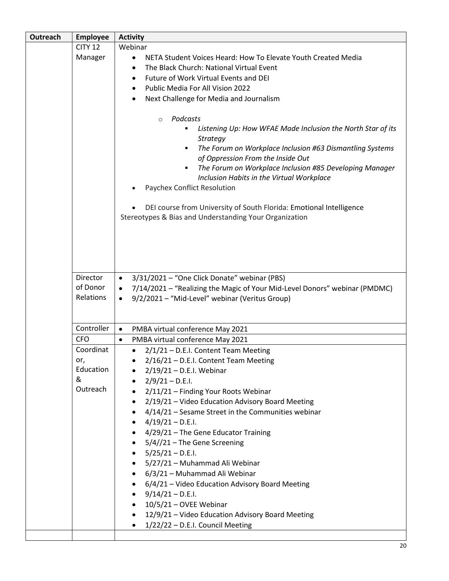| Outreach | <b>Employee</b>                   | <b>Activity</b>                                                                                                                                                                                                                                                                                                                                                                                                                                                                        |  |  |
|----------|-----------------------------------|----------------------------------------------------------------------------------------------------------------------------------------------------------------------------------------------------------------------------------------------------------------------------------------------------------------------------------------------------------------------------------------------------------------------------------------------------------------------------------------|--|--|
|          | <b>CITY 12</b>                    | Webinar                                                                                                                                                                                                                                                                                                                                                                                                                                                                                |  |  |
|          | Manager                           | NETA Student Voices Heard: How To Elevate Youth Created Media<br>$\bullet$                                                                                                                                                                                                                                                                                                                                                                                                             |  |  |
|          |                                   | The Black Church: National Virtual Event<br>٠                                                                                                                                                                                                                                                                                                                                                                                                                                          |  |  |
|          |                                   | Future of Work Virtual Events and DEI<br>٠                                                                                                                                                                                                                                                                                                                                                                                                                                             |  |  |
|          |                                   | Public Media For All Vision 2022<br>٠                                                                                                                                                                                                                                                                                                                                                                                                                                                  |  |  |
|          |                                   | Next Challenge for Media and Journalism<br>٠                                                                                                                                                                                                                                                                                                                                                                                                                                           |  |  |
|          |                                   | Podcasts<br>$\circ$<br>Listening Up: How WFAE Made Inclusion the North Star of its<br>٠<br>Strategy<br>The Forum on Workplace Inclusion #63 Dismantling Systems<br>٠<br>of Oppression From the Inside Out<br>The Forum on Workplace Inclusion #85 Developing Manager<br>٠<br>Inclusion Habits in the Virtual Workplace<br>Paychex Conflict Resolution<br>DEI course from University of South Florida: Emotional Intelligence<br>Stereotypes & Bias and Understanding Your Organization |  |  |
|          | Director<br>of Donor<br>Relations | 3/31/2021 - "One Click Donate" webinar (PBS)<br>$\bullet$<br>7/14/2021 - "Realizing the Magic of Your Mid-Level Donors" webinar (PMDMC)<br>$\bullet$<br>9/2/2021 - "Mid-Level" webinar (Veritus Group)<br>$\bullet$                                                                                                                                                                                                                                                                    |  |  |
|          | Controller                        | PMBA virtual conference May 2021<br>$\bullet$                                                                                                                                                                                                                                                                                                                                                                                                                                          |  |  |
|          | <b>CFO</b>                        | PMBA virtual conference May 2021<br>$\bullet$                                                                                                                                                                                                                                                                                                                                                                                                                                          |  |  |
|          | Coordinat                         | 2/1/21 - D.E.I. Content Team Meeting                                                                                                                                                                                                                                                                                                                                                                                                                                                   |  |  |
|          | or,                               | 2/16/21 - D.E.I. Content Team Meeting                                                                                                                                                                                                                                                                                                                                                                                                                                                  |  |  |
|          | Education                         | 2/19/21 – D.E.I. Webinar                                                                                                                                                                                                                                                                                                                                                                                                                                                               |  |  |
|          | &                                 | $2/9/21 - D.E.I.$<br>$\bullet$                                                                                                                                                                                                                                                                                                                                                                                                                                                         |  |  |
|          | Outreach                          | 2/11/21 - Finding Your Roots Webinar                                                                                                                                                                                                                                                                                                                                                                                                                                                   |  |  |
|          |                                   | 2/19/21 - Video Education Advisory Board Meeting<br>٠                                                                                                                                                                                                                                                                                                                                                                                                                                  |  |  |
|          |                                   | 4/14/21 - Sesame Street in the Communities webinar<br>$\bullet$                                                                                                                                                                                                                                                                                                                                                                                                                        |  |  |
|          |                                   | $4/19/21 - D.E.I.$<br>$\bullet$                                                                                                                                                                                                                                                                                                                                                                                                                                                        |  |  |
|          |                                   | 4/29/21 - The Gene Educator Training<br>٠                                                                                                                                                                                                                                                                                                                                                                                                                                              |  |  |
|          |                                   | $5/4//21$ – The Gene Screening<br>$\bullet$                                                                                                                                                                                                                                                                                                                                                                                                                                            |  |  |
|          |                                   | $5/25/21 - D.E.I.$                                                                                                                                                                                                                                                                                                                                                                                                                                                                     |  |  |
|          |                                   | 5/27/21 - Muhammad Ali Webinar<br>$\bullet$                                                                                                                                                                                                                                                                                                                                                                                                                                            |  |  |
|          |                                   | 6/3/21 - Muhammad Ali Webinar<br>$\bullet$                                                                                                                                                                                                                                                                                                                                                                                                                                             |  |  |
|          |                                   | 6/4/21 - Video Education Advisory Board Meeting<br>٠                                                                                                                                                                                                                                                                                                                                                                                                                                   |  |  |
|          |                                   | $9/14/21 - D.E.I.$<br>$\bullet$<br>10/5/21 - OVEE Webinar<br>$\bullet$                                                                                                                                                                                                                                                                                                                                                                                                                 |  |  |
|          |                                   | 12/9/21 - Video Education Advisory Board Meeting<br>$\bullet$                                                                                                                                                                                                                                                                                                                                                                                                                          |  |  |
|          |                                   | 1/22/22 - D.E.I. Council Meeting                                                                                                                                                                                                                                                                                                                                                                                                                                                       |  |  |
|          |                                   |                                                                                                                                                                                                                                                                                                                                                                                                                                                                                        |  |  |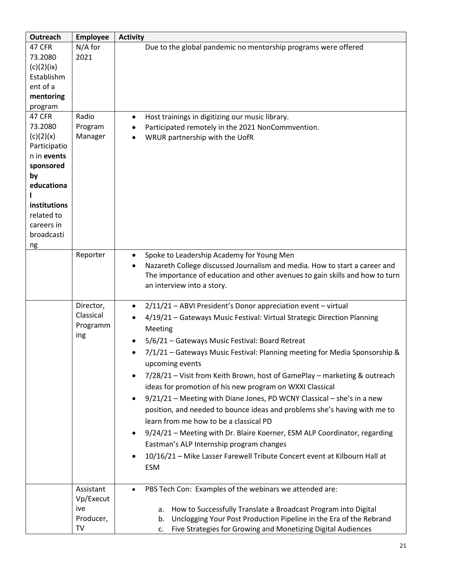| <b>Outreach</b>          | <b>Employee</b>       | <b>Activity</b>                                                                         |  |  |
|--------------------------|-----------------------|-----------------------------------------------------------------------------------------|--|--|
| 47 CFR<br>73.2080        | $N/A$ for<br>2021     | Due to the global pandemic no mentorship programs were offered                          |  |  |
| (c)(2)(ix)               |                       |                                                                                         |  |  |
| Establishm               |                       |                                                                                         |  |  |
| ent of a                 |                       |                                                                                         |  |  |
| mentoring                |                       |                                                                                         |  |  |
| program<br>47 CFR        | Radio                 | Host trainings in digitizing our music library.<br>$\bullet$                            |  |  |
| 73.2080                  | Program               | Participated remotely in the 2021 NonCommvention.                                       |  |  |
| (c)(2)(x)                | Manager               | WRUR partnership with the UofR                                                          |  |  |
| Participatio             |                       |                                                                                         |  |  |
| n in events              |                       |                                                                                         |  |  |
| sponsored<br>by          |                       |                                                                                         |  |  |
| educationa               |                       |                                                                                         |  |  |
|                          |                       |                                                                                         |  |  |
| institutions             |                       |                                                                                         |  |  |
| related to               |                       |                                                                                         |  |  |
| careers in<br>broadcasti |                       |                                                                                         |  |  |
| ng                       |                       |                                                                                         |  |  |
|                          | Reporter              | Spoke to Leadership Academy for Young Men<br>$\bullet$                                  |  |  |
|                          |                       | Nazareth College discussed Journalism and media. How to start a career and<br>$\bullet$ |  |  |
|                          |                       | The importance of education and other avenues to gain skills and how to turn            |  |  |
|                          |                       | an interview into a story.                                                              |  |  |
|                          | Director,             | 2/11/21 - ABVI President's Donor appreciation event - virtual<br>$\bullet$              |  |  |
|                          | Classical<br>Programm | 4/19/21 - Gateways Music Festival: Virtual Strategic Direction Planning<br>Meeting      |  |  |
|                          | ing                   | 5/6/21 - Gateways Music Festival: Board Retreat                                         |  |  |
|                          |                       | 7/1/21 - Gateways Music Festival: Planning meeting for Media Sponsorship &<br>٠         |  |  |
|                          |                       | upcoming events                                                                         |  |  |
|                          |                       | 7/28/21 - Visit from Keith Brown, host of GamePlay - marketing & outreach<br>$\bullet$  |  |  |
|                          |                       | ideas for promotion of his new program on WXXI Classical                                |  |  |
|                          |                       | 9/21/21 - Meeting with Diane Jones, PD WCNY Classical - she's in a new                  |  |  |
|                          |                       | position, and needed to bounce ideas and problems she's having with me to               |  |  |
|                          |                       | learn from me how to be a classical PD                                                  |  |  |
|                          |                       | 9/24/21 - Meeting with Dr. Blaire Koerner, ESM ALP Coordinator, regarding               |  |  |
|                          |                       | Eastman's ALP Internship program changes                                                |  |  |
|                          |                       | 10/16/21 - Mike Lasser Farewell Tribute Concert event at Kilbourn Hall at               |  |  |
|                          |                       | <b>ESM</b>                                                                              |  |  |
|                          | Assistant             | PBS Tech Con: Examples of the webinars we attended are:                                 |  |  |
|                          | Vp/Execut             |                                                                                         |  |  |
|                          | ive                   | How to Successfully Translate a Broadcast Program into Digital<br>a.                    |  |  |
|                          | Producer,             | Unclogging Your Post Production Pipeline in the Era of the Rebrand<br>b.                |  |  |
|                          | TV                    | Five Strategies for Growing and Monetizing Digital Audiences<br>c.                      |  |  |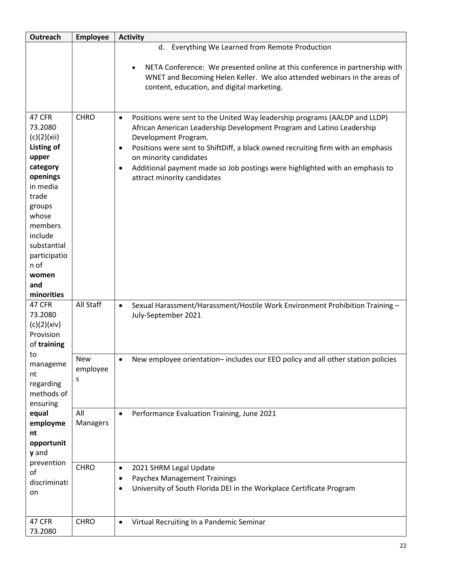| Outreach                                                                                                                                                                                                                  | <b>Employee</b>      | <b>Activity</b>                                                                                                                                                                                                                                                                                                                                                                                                                                 |
|---------------------------------------------------------------------------------------------------------------------------------------------------------------------------------------------------------------------------|----------------------|-------------------------------------------------------------------------------------------------------------------------------------------------------------------------------------------------------------------------------------------------------------------------------------------------------------------------------------------------------------------------------------------------------------------------------------------------|
|                                                                                                                                                                                                                           |                      | Everything We Learned from Remote Production<br>d.<br>NETA Conference: We presented online at this conference in partnership with<br>$\bullet$<br>WNET and Becoming Helen Keller. We also attended webinars in the areas of<br>content, education, and digital marketing.                                                                                                                                                                       |
| 47 CFR<br>73.2080<br>(c)(2)(xii)<br><b>Listing of</b><br>upper<br>category<br>openings<br>in media<br>trade<br>groups<br>whose<br>members<br>include<br>substantial<br>participatio<br>n of<br>women<br>and<br>minorities | <b>CHRO</b>          | Positions were sent to the United Way leadership programs (AALDP and LLDP)<br>$\bullet$<br>African American Leadership Development Program and Latino Leadership<br>Development Program.<br>Positions were sent to ShiftDiff, a black owned recruiting firm with an emphasis<br>$\bullet$<br>on minority candidates<br>Additional payment made so Job postings were highlighted with an emphasis to<br>$\bullet$<br>attract minority candidates |
| 47 CFR<br>73.2080<br>(c)(2)(xiv)<br>Provision<br>of training                                                                                                                                                              | All Staff            | Sexual Harassment/Harassment/Hostile Work Environment Prohibition Training -<br>$\bullet$<br>July-September 2021                                                                                                                                                                                                                                                                                                                                |
| to<br>manageme<br>nt<br>regarding<br>methods of<br>ensuring                                                                                                                                                               | New<br>employee<br>S | New employee orientation-includes our EEO policy and all other station policies                                                                                                                                                                                                                                                                                                                                                                 |
| equal<br>employme<br>nt<br>opportunit<br>y and                                                                                                                                                                            | All<br>Managers      | Performance Evaluation Training, June 2021<br>$\bullet$                                                                                                                                                                                                                                                                                                                                                                                         |
| prevention<br>of<br>discriminati<br>on                                                                                                                                                                                    | <b>CHRO</b>          | 2021 SHRM Legal Update<br>$\bullet$<br><b>Paychex Management Trainings</b><br>$\bullet$<br>University of South Florida DEI in the Workplace Certificate Program<br>$\bullet$                                                                                                                                                                                                                                                                    |
| 47 CFR<br>73.2080                                                                                                                                                                                                         | <b>CHRO</b>          | Virtual Recruiting In a Pandemic Seminar<br>$\bullet$                                                                                                                                                                                                                                                                                                                                                                                           |